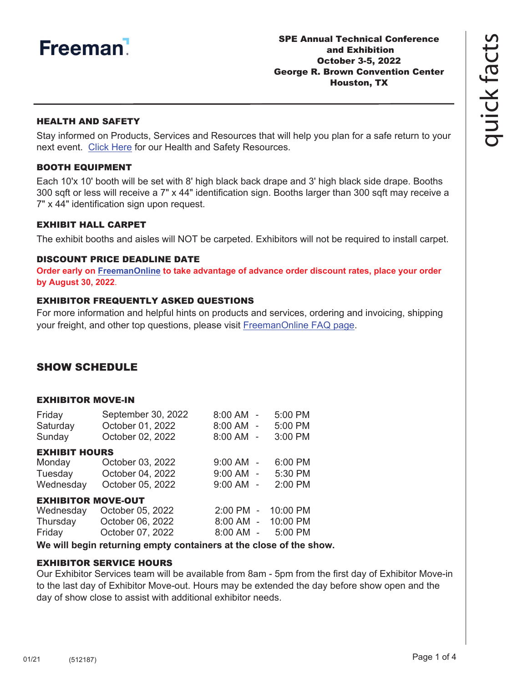

### HEALTH AND SAFETY

Stay informed on Products, Services and Resources that will help you plan for a safe return to your next event. [Click Here](https://www.freeman.com/resources/collection/how-to-safely-return-to-exhibiting/) for our Health and Safety Resources.

#### BOOTH EQUIPMENT

Each 10'x 10' booth will be set with 8' high black back drape and 3' high black side drape. Booths 300 sqft or less will receive a 7" x 44" identification sign. Booths larger than 300 sqft may receive a 7" x 44" identification sign upon request.

#### EXHIBIT HALL CARPET

The exhibit booths and aisles will NOT be carpeted. Exhibitors will not be required to install carpet.

#### DISCOUNT PRICE DEADLINE DATE

**Order early on [FreemanOnline](https://www.freemanco.com/store?utm_source=Forms&utm_medium=PDF) to take advantage of advance order discount rates, place your order by August 30, 2022**.

## EXHIBITOR FREQUENTLY ASKED QUESTIONS

For more information and helpful hints on products and services, ordering and invoicing, shipping your freight, and other top questions, please visit [FreemanOnline FAQ page.](https://www.freemanco.com/store/faqs)

# SHOW SCHEDULE

#### EXHIBITOR MOVE-IN

| Friday                    | September 30, 2022 | 8:00 AM -     |                     | 5:00 PM  |
|---------------------------|--------------------|---------------|---------------------|----------|
| Saturday                  | October 01, 2022   | 8:00 AM -     |                     | 5:00 PM  |
| Sunday                    | October 02, 2022   | 8:00 AM -     |                     | 3:00 PM  |
| <b>EXHIBIT HOURS</b>      |                    |               |                     |          |
| Monday                    | October 03, 2022   | $9:00$ AM $-$ |                     | 6:00 PM  |
| Tuesday                   | October 04, 2022   | $9:00$ AM -   |                     | 5:30 PM  |
| Wednesday                 | October 05, 2022   | $9:00$ AM -   |                     | 2:00 PM  |
| <b>EXHIBITOR MOVE-OUT</b> |                    |               |                     |          |
| Wednesday                 | October 05, 2022   | $2:00$ PM     | $\bar{\phantom{a}}$ | 10:00 PM |
| Thursday                  | October 06, 2022   | 8:00 AM -     |                     | 10:00 PM |
| Friday                    | October 07, 2022   | 8:00 AM       |                     | 5:00 PM  |

**We will begin returning empty containers at the close of the show.**

## EXHIBITOR SERVICE HOURS

Our Exhibitor Services team will be available from 8am - 5pm from the first day of Exhibitor Move-in to the last day of Exhibitor Move-out. Hours may be extended the day before show open and the day of show close to assist with additional exhibitor needs.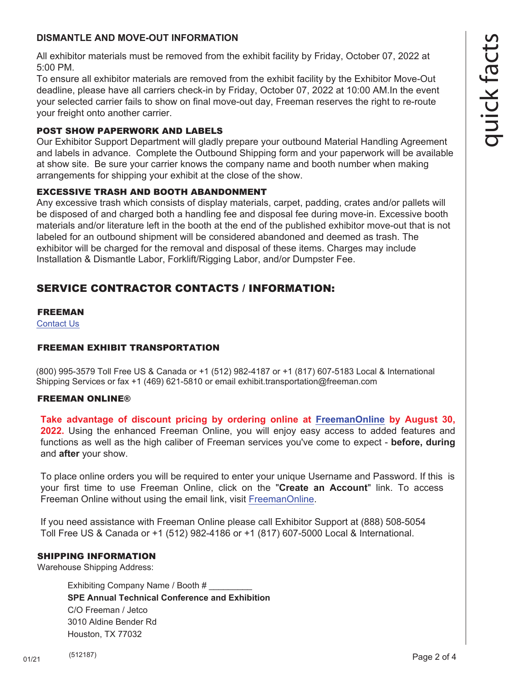# **DISMANTLE AND MOVE-OUT INFORMATION**

All exhibitor materials must be removed from the exhibit facility by Friday, October 07, 2022 at 5:00 PM.

To ensure all exhibitor materials are removed from the exhibit facility by the Exhibitor Move-Out deadline, please have all carriers check-in by Friday, October 07, 2022 at 10:00 AM.In the event your selected carrier fails to show on final move-out day, Freeman reserves the right to re-route your freight onto another carrier.

# POST SHOW PAPERWORK AND LABELS

Our Exhibitor Support Department will gladly prepare your outbound Material Handling Agreement and labels in advance. Complete the Outbound Shipping form and your paperwork will be available at show site. Be sure your carrier knows the company name and booth number when making arrangements for shipping your exhibit at the close of the show.

# EXCESSIVE TRASH AND BOOTH ABANDONMENT

Any excessive trash which consists of display materials, carpet, padding, crates and/or pallets will be disposed of and charged both a handling fee and disposal fee during move-in. Excessive booth materials and/or literature left in the booth at the end of the published exhibitor move-out that is not labeled for an outbound shipment will be considered abandoned and deemed as trash. The exhibitor will be charged for the removal and disposal of these items. Charges may include Installation & Dismantle Labor, Forklift/Rigging Labor, and/or Dumpster Fee.

# SERVICE CONTRACTOR CONTACTS / INFORMATION:

## [FREEMAN](https://www.freemanco.com/store/faqs#contactUS)

Contact Us

# FREEMAN EXHIBIT TRANSPORTATION

(800) 995-3579 Toll Free US & Canada or +1 (512) 982-4187 or +1 (817) 607-5183 Local & International Shipping Services or fax +1 (469) 621-5810 or email exhibit.transportation@freeman.com

# FREEMAN ONLINE®

**Take advantage of discount pricing by ordering online a[t FreemanOnline](https://www.freemanco.com/store?utm_source=Forms&utm_medium=PDF) by August 30, 2022.** Using the enhanced Freeman Online, you will enjoy easy access to added features and functions as well as the high caliber of Freeman services you've come to expect - **before, during** and **after** your show.

To place online orders you will be required to enter your unique Username and Password. If this is your first time to use Freeman Online, click on the "**Create an Account**" link. To access Freeman Online without using the email link, visit [FreemanOnline.](https://www.freemanco.com/store?utm_source=Forms&utm_medium=PDF)

If you need assistance with Freeman Online please call Exhibitor Support at (888) 508-5054 Toll Free US & Canada or +1 (512) 982-4186 or +1 (817) 607-5000 Local & International.

# SHIPPING INFORMATION

Warehouse Shipping Address:

Exhibiting Company Name / Booth # **SPE Annual Technical Conference and Exhibition** C/O Freeman / Jetco 3010 Aldine Bender Rd Houston, TX 77032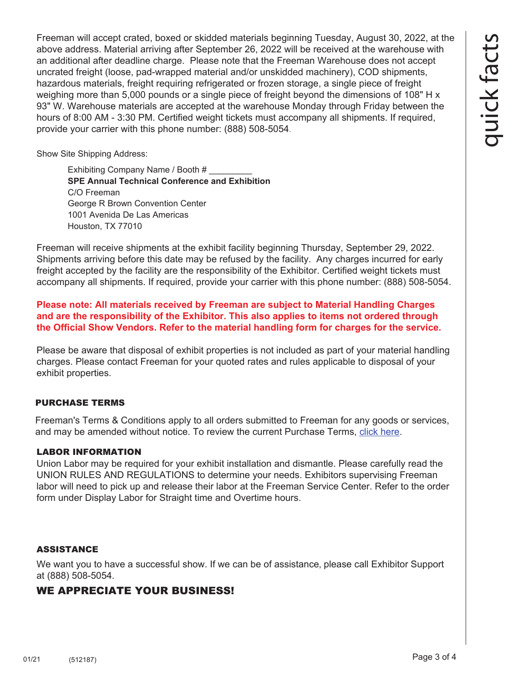Show Site Shipping Address:

Exhibiting Company Name / Booth # \_\_\_\_\_\_\_\_\_ **SPE Annual Technical Conference and Exhibition** C/O Freeman George R Brown Convention Center 1001 Avenida De Las Americas Houston, TX 77010

Freeman will receive shipments at the exhibit facility beginning Thursday, September 29, 2022. Shipments arriving before this date may be refused by the facility. Any charges incurred for early freight accepted by the facility are the responsibility of the Exhibitor. Certified weight tickets must accompany all shipments. If required, provide your carrier with this phone number: (888) 508-5054.

**Please note: All materials received by Freeman are subject to Material Handling Charges and are the responsibility of the Exhibitor. This also applies to items not ordered through the Official Show Vendors. Refer to the material handling form for charges for the service.** 

Please be aware that disposal of exhibit properties is not included as part of your material handling charges. Please contact Freeman for your quoted rates and rules applicable to disposal of your exhibit properties.

# PURCHASE TERMS

Freeman's Terms & Conditions apply to all orders submitted to Freeman for any goods or services, and may be amended without notice. To review the current Purchase Terms, [click here.](https://www.freemanco.com/store/footerPages/footerPagesProfileFrame.jsp?page=purcha seTerms&_ga=2.176437029.1419744130.1584226036-1715307741.1584226036)

# LABOR INFORMATION

Union Labor may be required for your exhibit installation and dismantle. Please carefully read the UNION RULES AND REGULATIONS to determine your needs. Exhibitors supervising Freeman labor will need to pick up and release their labor at the Freeman Service Center. Refer to the order form under Display Labor for Straight time and Overtime hours.

# ASSISTANCE

We want you to have a successful show. If we can be of assistance, please call Exhibitor Support at (888) 508-5054.

# WE APPRECIATE YOUR BUSINESS!